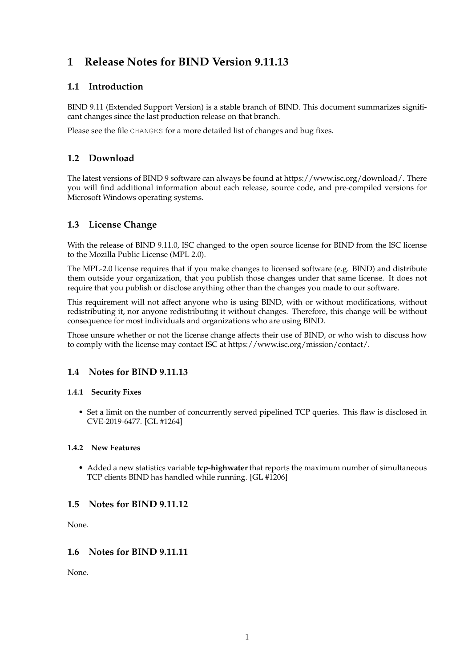# **1 Release Notes for BIND Version 9.11.13**

## **1.1 Introduction**

BIND 9.11 (Extended Support Version) is a stable branch of BIND. This document summarizes significant changes since the last production release on that branch.

Please see the file CHANGES for a more detailed list of changes and bug fixes.

## **1.2 Download**

The latest versions of BIND 9 software can always be found at https://www.isc.org/download/. There you will find additional information about each release, source code, and pre-compiled versions for Microsoft Windows operating systems.

## **1.3 License Change**

With the release of BIND 9.11.0, ISC changed to the open source license for BIND from the ISC license to the Mozilla Public License (MPL 2.0).

The MPL-2.0 license requires that if you make changes to licensed software (e.g. BIND) and distribute them outside your organization, that you publish those changes under that same license. It does not require that you publish or disclose anything other than the changes you made to our software.

This requirement will not affect anyone who is using BIND, with or without modifications, without redistributing it, nor anyone redistributing it without changes. Therefore, this change will be without consequence for most individuals and organizations who are using BIND.

Those unsure whether or not the license change affects their use of BIND, or who wish to discuss how to comply with the license may contact ISC at https://www.isc.org/mission/contact/.

## **1.4 Notes for BIND 9.11.13**

## **1.4.1 Security Fixes**

• Set a limit on the number of concurrently served pipelined TCP queries. This flaw is disclosed in CVE-2019-6477. [GL #1264]

## **1.4.2 New Features**

• Added a new statistics variable **tcp-highwater** that reports the maximum number of simultaneous TCP clients BIND has handled while running. [GL #1206]

## **1.5 Notes for BIND 9.11.12**

None.

## **1.6 Notes for BIND 9.11.11**

None.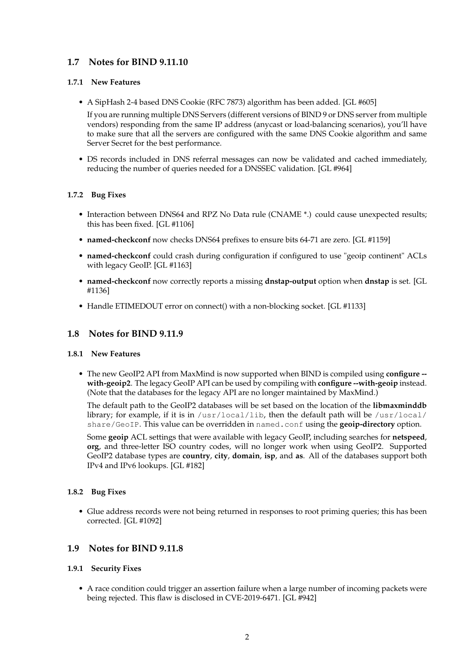## **1.7 Notes for BIND 9.11.10**

## **1.7.1 New Features**

• A SipHash 2-4 based DNS Cookie (RFC 7873) algorithm has been added. [GL #605]

If you are running multiple DNS Servers (different versions of BIND 9 or DNS server from multiple vendors) responding from the same IP address (anycast or load-balancing scenarios), you'll have to make sure that all the servers are configured with the same DNS Cookie algorithm and same Server Secret for the best performance.

• DS records included in DNS referral messages can now be validated and cached immediately, reducing the number of queries needed for a DNSSEC validation. [GL #964]

## **1.7.2 Bug Fixes**

- Interaction between DNS64 and RPZ No Data rule (CNAME \*.) could cause unexpected results; this has been fixed. [GL #1106]
- **named-checkconf** now checks DNS64 prefixes to ensure bits 64-71 are zero. [GL #1159]
- **named-checkconf** could crash during configuration if configured to use "geoip continent" ACLs with legacy GeoIP. [GL #1163]
- **named-checkconf** now correctly reports a missing **dnstap-output** option when **dnstap** is set. [GL #1136]
- Handle ETIMEDOUT error on connect() with a non-blocking socket. [GL #1133]

## **1.8 Notes for BIND 9.11.9**

#### **1.8.1 New Features**

• The new GeoIP2 API from MaxMind is now supported when BIND is compiled using **configure - with-geoip2**. The legacy GeoIP API can be used by compiling with **configure --with-geoip** instead. (Note that the databases for the legacy API are no longer maintained by MaxMind.)

The default path to the GeoIP2 databases will be set based on the location of the **libmaxminddb** library; for example, if it is in /usr/local/lib, then the default path will be /usr/local/ share/GeoIP. This value can be overridden in named.conf using the **geoip-directory** option.

Some **geoip** ACL settings that were available with legacy GeoIP, including searches for **netspeed**, **org**, and three-letter ISO country codes, will no longer work when using GeoIP2. Supported GeoIP2 database types are **country**, **city**, **domain**, **isp**, and **as**. All of the databases support both IPv4 and IPv6 lookups. [GL #182]

## **1.8.2 Bug Fixes**

• Glue address records were not being returned in responses to root priming queries; this has been corrected. [GL #1092]

## **1.9 Notes for BIND 9.11.8**

## **1.9.1 Security Fixes**

• A race condition could trigger an assertion failure when a large number of incoming packets were being rejected. This flaw is disclosed in CVE-2019-6471. [GL #942]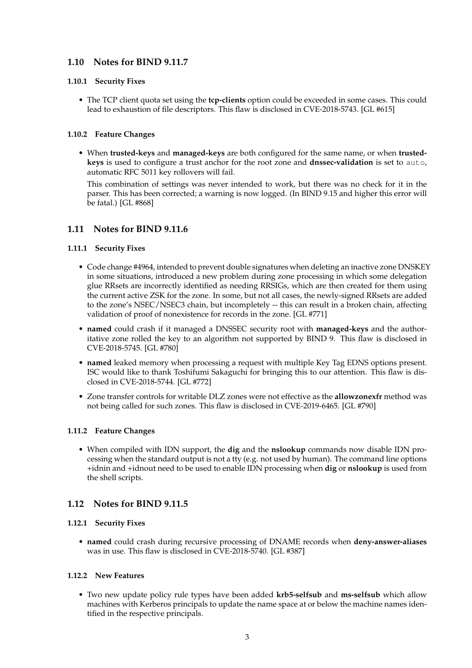## **1.10 Notes for BIND 9.11.7**

## **1.10.1 Security Fixes**

• The TCP client quota set using the **tcp-clients** option could be exceeded in some cases. This could lead to exhaustion of file descriptors. This flaw is disclosed in CVE-2018-5743. [GL #615]

## **1.10.2 Feature Changes**

• When **trusted-keys** and **managed-keys** are both configured for the same name, or when **trustedkeys** is used to configure a trust anchor for the root zone and **dnssec-validation** is set to auto, automatic RFC 5011 key rollovers will fail.

This combination of settings was never intended to work, but there was no check for it in the parser. This has been corrected; a warning is now logged. (In BIND 9.15 and higher this error will be fatal.) [GL #868]

## **1.11 Notes for BIND 9.11.6**

## **1.11.1 Security Fixes**

- Code change #4964, intended to prevent double signatures when deleting an inactive zone DNSKEY in some situations, introduced a new problem during zone processing in which some delegation glue RRsets are incorrectly identified as needing RRSIGs, which are then created for them using the current active ZSK for the zone. In some, but not all cases, the newly-signed RRsets are added to the zone's NSEC/NSEC3 chain, but incompletely -- this can result in a broken chain, affecting validation of proof of nonexistence for records in the zone. [GL #771]
- **named** could crash if it managed a DNSSEC security root with **managed-keys** and the authoritative zone rolled the key to an algorithm not supported by BIND 9. This flaw is disclosed in CVE-2018-5745. [GL #780]
- **named** leaked memory when processing a request with multiple Key Tag EDNS options present. ISC would like to thank Toshifumi Sakaguchi for bringing this to our attention. This flaw is disclosed in CVE-2018-5744. [GL #772]
- Zone transfer controls for writable DLZ zones were not effective as the **allowzonexfr** method was not being called for such zones. This flaw is disclosed in CVE-2019-6465. [GL #790]

## **1.11.2 Feature Changes**

• When compiled with IDN support, the **dig** and the **nslookup** commands now disable IDN processing when the standard output is not a tty (e.g. not used by human). The command line options +idnin and +idnout need to be used to enable IDN processing when **dig** or **nslookup** is used from the shell scripts.

## **1.12 Notes for BIND 9.11.5**

## **1.12.1 Security Fixes**

• **named** could crash during recursive processing of DNAME records when **deny-answer-aliases** was in use. This flaw is disclosed in CVE-2018-5740. [GL #387]

## **1.12.2 New Features**

• Two new update policy rule types have been added **krb5-selfsub** and **ms-selfsub** which allow machines with Kerberos principals to update the name space at or below the machine names identified in the respective principals.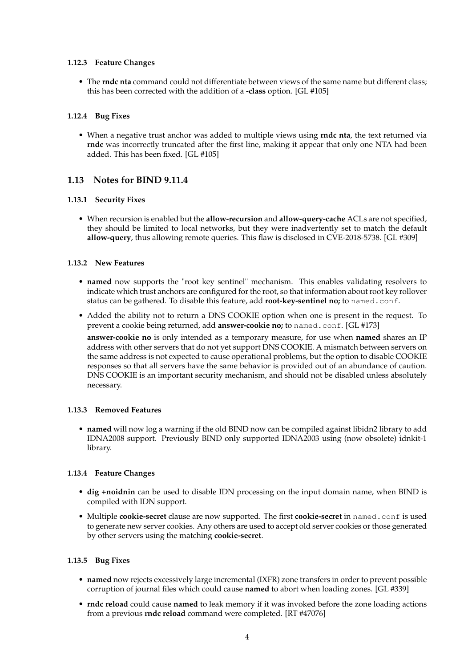#### **1.12.3 Feature Changes**

• The **rndc nta** command could not differentiate between views of the same name but different class; this has been corrected with the addition of a **-class** option. [GL #105]

#### **1.12.4 Bug Fixes**

• When a negative trust anchor was added to multiple views using **rndc nta**, the text returned via **rndc** was incorrectly truncated after the first line, making it appear that only one NTA had been added. This has been fixed. [GL #105]

## **1.13 Notes for BIND 9.11.4**

#### **1.13.1 Security Fixes**

• When recursion is enabled but the **allow-recursion** and **allow-query-cache** ACLs are not specified, they should be limited to local networks, but they were inadvertently set to match the default **allow-query**, thus allowing remote queries. This flaw is disclosed in CVE-2018-5738. [GL #309]

#### **1.13.2 New Features**

- **named** now supports the "root key sentinel" mechanism. This enables validating resolvers to indicate which trust anchors are configured for the root, so that information about root key rollover status can be gathered. To disable this feature, add **root-key-sentinel no;** to named.conf.
- Added the ability not to return a DNS COOKIE option when one is present in the request. To prevent a cookie being returned, add **answer-cookie no;** to named.conf. [GL #173]

**answer-cookie no** is only intended as a temporary measure, for use when **named** shares an IP address with other servers that do not yet support DNS COOKIE. A mismatch between servers on the same address is not expected to cause operational problems, but the option to disable COOKIE responses so that all servers have the same behavior is provided out of an abundance of caution. DNS COOKIE is an important security mechanism, and should not be disabled unless absolutely necessary.

#### **1.13.3 Removed Features**

• **named** will now log a warning if the old BIND now can be compiled against libidn2 library to add IDNA2008 support. Previously BIND only supported IDNA2003 using (now obsolete) idnkit-1 library.

#### **1.13.4 Feature Changes**

- **dig +noidnin** can be used to disable IDN processing on the input domain name, when BIND is compiled with IDN support.
- Multiple **cookie-secret** clause are now supported. The first **cookie-secret** in named.conf is used to generate new server cookies. Any others are used to accept old server cookies or those generated by other servers using the matching **cookie-secret**.

#### **1.13.5 Bug Fixes**

- **named** now rejects excessively large incremental (IXFR) zone transfers in order to prevent possible corruption of journal files which could cause **named** to abort when loading zones. [GL #339]
- **rndc reload** could cause **named** to leak memory if it was invoked before the zone loading actions from a previous **rndc reload** command were completed. [RT #47076]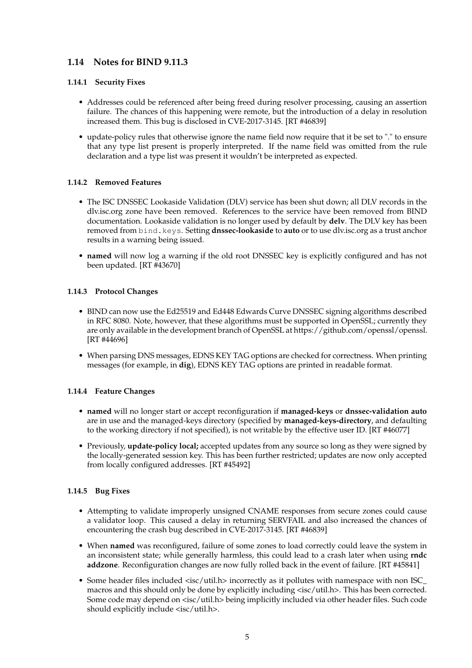## **1.14 Notes for BIND 9.11.3**

## **1.14.1 Security Fixes**

- Addresses could be referenced after being freed during resolver processing, causing an assertion failure. The chances of this happening were remote, but the introduction of a delay in resolution increased them. This bug is disclosed in CVE-2017-3145. [RT #46839]
- update-policy rules that otherwise ignore the name field now require that it be set to "." to ensure that any type list present is properly interpreted. If the name field was omitted from the rule declaration and a type list was present it wouldn't be interpreted as expected.

## **1.14.2 Removed Features**

- The ISC DNSSEC Lookaside Validation (DLV) service has been shut down; all DLV records in the dlv.isc.org zone have been removed. References to the service have been removed from BIND documentation. Lookaside validation is no longer used by default by **delv**. The DLV key has been removed from bind.keys. Setting **dnssec-lookaside** to **auto** or to use dlv.isc.org as a trust anchor results in a warning being issued.
- **named** will now log a warning if the old root DNSSEC key is explicitly configured and has not been updated. [RT #43670]

#### **1.14.3 Protocol Changes**

- BIND can now use the Ed25519 and Ed448 Edwards Curve DNSSEC signing algorithms described in RFC 8080. Note, however, that these algorithms must be supported in OpenSSL; currently they are only available in the development branch of OpenSSL at https://github.com/openssl/openssl. [RT #44696]
- When parsing DNS messages, EDNS KEY TAG options are checked for correctness. When printing messages (for example, in **dig**), EDNS KEY TAG options are printed in readable format.

## **1.14.4 Feature Changes**

- **named** will no longer start or accept reconfiguration if **managed-keys** or **dnssec-validation auto** are in use and the managed-keys directory (specified by **managed-keys-directory**, and defaulting to the working directory if not specified), is not writable by the effective user ID. [RT #46077]
- Previously, **update-policy local;** accepted updates from any source so long as they were signed by the locally-generated session key. This has been further restricted; updates are now only accepted from locally configured addresses. [RT #45492]

## **1.14.5 Bug Fixes**

- Attempting to validate improperly unsigned CNAME responses from secure zones could cause a validator loop. This caused a delay in returning SERVFAIL and also increased the chances of encountering the crash bug described in CVE-2017-3145. [RT #46839]
- When **named** was reconfigured, failure of some zones to load correctly could leave the system in an inconsistent state; while generally harmless, this could lead to a crash later when using **rndc addzone**. Reconfiguration changes are now fully rolled back in the event of failure. [RT #45841]
- Some header files included <isc/util.h> incorrectly as it pollutes with namespace with non ISC macros and this should only be done by explicitly including <isc/util.h>. This has been corrected. Some code may depend on <isc/util.h> being implicitly included via other header files. Such code should explicitly include <isc/util.h>.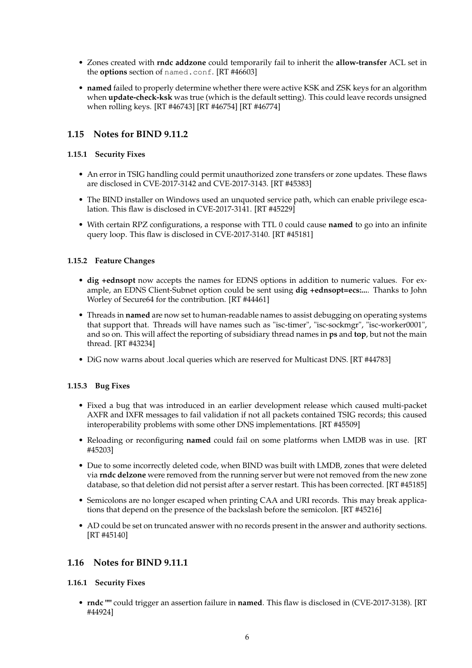- Zones created with **rndc addzone** could temporarily fail to inherit the **allow-transfer** ACL set in the **options** section of named.conf. [RT #46603]
- **named** failed to properly determine whether there were active KSK and ZSK keys for an algorithm when **update-check-ksk** was true (which is the default setting). This could leave records unsigned when rolling keys. [RT #46743] [RT #46754] [RT #46774]

## **1.15 Notes for BIND 9.11.2**

### **1.15.1 Security Fixes**

- An error in TSIG handling could permit unauthorized zone transfers or zone updates. These flaws are disclosed in CVE-2017-3142 and CVE-2017-3143. [RT #45383]
- The BIND installer on Windows used an unquoted service path, which can enable privilege escalation. This flaw is disclosed in CVE-2017-3141. [RT #45229]
- With certain RPZ configurations, a response with TTL 0 could cause **named** to go into an infinite query loop. This flaw is disclosed in CVE-2017-3140. [RT #45181]

#### **1.15.2 Feature Changes**

- **dig +ednsopt** now accepts the names for EDNS options in addition to numeric values. For example, an EDNS Client-Subnet option could be sent using **dig +ednsopt=ecs:...**. Thanks to John Worley of Secure64 for the contribution. [RT #44461]
- Threads in **named** are now set to human-readable names to assist debugging on operating systems that support that. Threads will have names such as "isc-timer", "isc-sockmgr", "isc-worker0001", and so on. This will affect the reporting of subsidiary thread names in **ps** and **top**, but not the main thread. [RT #43234]
- DiG now warns about .local queries which are reserved for Multicast DNS. [RT #44783]

## **1.15.3 Bug Fixes**

- Fixed a bug that was introduced in an earlier development release which caused multi-packet AXFR and IXFR messages to fail validation if not all packets contained TSIG records; this caused interoperability problems with some other DNS implementations. [RT #45509]
- Reloading or reconfiguring **named** could fail on some platforms when LMDB was in use. [RT #45203]
- Due to some incorrectly deleted code, when BIND was built with LMDB, zones that were deleted via **rndc delzone** were removed from the running server but were not removed from the new zone database, so that deletion did not persist after a server restart. This has been corrected. [RT #45185]
- Semicolons are no longer escaped when printing CAA and URI records. This may break applications that depend on the presence of the backslash before the semicolon. [RT #45216]
- AD could be set on truncated answer with no records present in the answer and authority sections. [RT #45140]

## **1.16 Notes for BIND 9.11.1**

## **1.16.1 Security Fixes**

• **rndc ""** could trigger an assertion failure in **named**. This flaw is disclosed in (CVE-2017-3138). [RT #44924]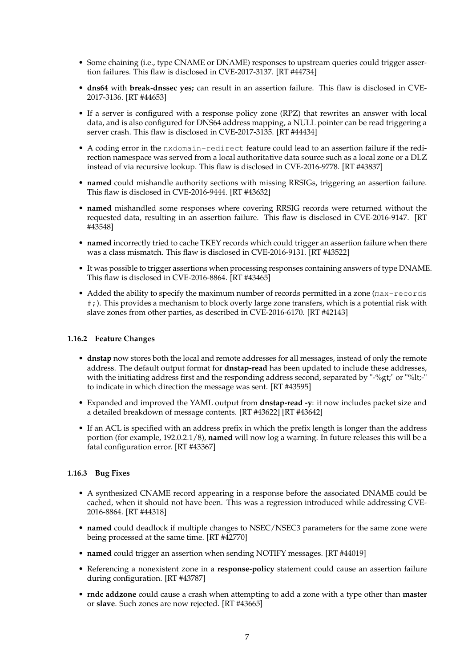- Some chaining (i.e., type CNAME or DNAME) responses to upstream queries could trigger assertion failures. This flaw is disclosed in CVE-2017-3137. [RT #44734]
- **dns64** with **break-dnssec yes;** can result in an assertion failure. This flaw is disclosed in CVE-2017-3136. [RT #44653]
- If a server is configured with a response policy zone (RPZ) that rewrites an answer with local data, and is also configured for DNS64 address mapping, a NULL pointer can be read triggering a server crash. This flaw is disclosed in CVE-2017-3135. [RT #44434]
- A coding error in the nxdomain-redirect feature could lead to an assertion failure if the redirection namespace was served from a local authoritative data source such as a local zone or a DLZ instead of via recursive lookup. This flaw is disclosed in CVE-2016-9778. [RT #43837]
- **named** could mishandle authority sections with missing RRSIGs, triggering an assertion failure. This flaw is disclosed in CVE-2016-9444. [RT #43632]
- **named** mishandled some responses where covering RRSIG records were returned without the requested data, resulting in an assertion failure. This flaw is disclosed in CVE-2016-9147. [RT #43548]
- **named** incorrectly tried to cache TKEY records which could trigger an assertion failure when there was a class mismatch. This flaw is disclosed in CVE-2016-9131. [RT #43522]
- It was possible to trigger assertions when processing responses containing answers of type DNAME. This flaw is disclosed in CVE-2016-8864. [RT #43465]
- Added the ability to specify the maximum number of records permitted in a zone (max-records #;). This provides a mechanism to block overly large zone transfers, which is a potential risk with slave zones from other parties, as described in CVE-2016-6170. [RT #42143]

## **1.16.2 Feature Changes**

- **dnstap** now stores both the local and remote addresses for all messages, instead of only the remote address. The default output format for **dnstap-read** has been updated to include these addresses, with the initiating address first and the responding address second, separated by "-%gt;" or "%lt;-" to indicate in which direction the message was sent. [RT #43595]
- Expanded and improved the YAML output from **dnstap-read -y**: it now includes packet size and a detailed breakdown of message contents. [RT #43622] [RT #43642]
- If an ACL is specified with an address prefix in which the prefix length is longer than the address portion (for example, 192.0.2.1/8), **named** will now log a warning. In future releases this will be a fatal configuration error. [RT #43367]

#### **1.16.3 Bug Fixes**

- A synthesized CNAME record appearing in a response before the associated DNAME could be cached, when it should not have been. This was a regression introduced while addressing CVE-2016-8864. [RT #44318]
- **named** could deadlock if multiple changes to NSEC/NSEC3 parameters for the same zone were being processed at the same time. [RT #42770]
- **named** could trigger an assertion when sending NOTIFY messages. [RT #44019]
- Referencing a nonexistent zone in a **response-policy** statement could cause an assertion failure during configuration. [RT #43787]
- **rndc addzone** could cause a crash when attempting to add a zone with a type other than **master** or **slave**. Such zones are now rejected. [RT #43665]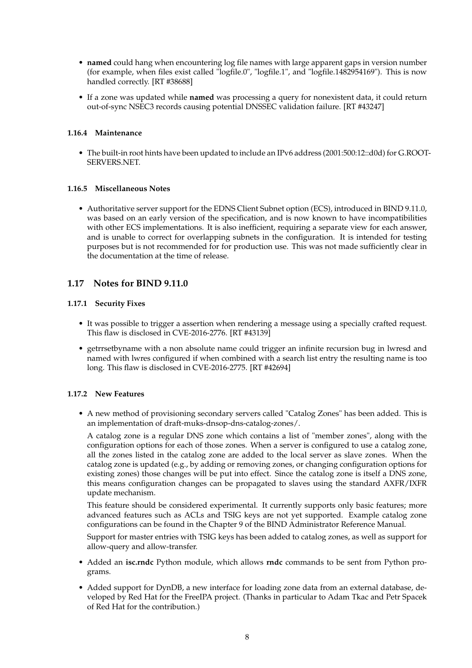- **named** could hang when encountering log file names with large apparent gaps in version number (for example, when files exist called "logfile.0", "logfile.1", and "logfile.1482954169"). This is now handled correctly. [RT #38688]
- If a zone was updated while **named** was processing a query for nonexistent data, it could return out-of-sync NSEC3 records causing potential DNSSEC validation failure. [RT #43247]

#### **1.16.4 Maintenance**

• The built-in root hints have been updated to include an IPv6 address (2001:500:12::d0d) for G.ROOT-SERVERS.NET.

#### **1.16.5 Miscellaneous Notes**

• Authoritative server support for the EDNS Client Subnet option (ECS), introduced in BIND 9.11.0, was based on an early version of the specification, and is now known to have incompatibilities with other ECS implementations. It is also inefficient, requiring a separate view for each answer, and is unable to correct for overlapping subnets in the configuration. It is intended for testing purposes but is not recommended for for production use. This was not made sufficiently clear in the documentation at the time of release.

## **1.17 Notes for BIND 9.11.0**

#### **1.17.1 Security Fixes**

- It was possible to trigger a assertion when rendering a message using a specially crafted request. This flaw is disclosed in CVE-2016-2776. [RT #43139]
- getrrsetbyname with a non absolute name could trigger an infinite recursion bug in lwresd and named with lwres configured if when combined with a search list entry the resulting name is too long. This flaw is disclosed in CVE-2016-2775. [RT #42694]

#### **1.17.2 New Features**

• A new method of provisioning secondary servers called "Catalog Zones" has been added. This is an implementation of draft-muks-dnsop-dns-catalog-zones/.

A catalog zone is a regular DNS zone which contains a list of "member zones", along with the configuration options for each of those zones. When a server is configured to use a catalog zone, all the zones listed in the catalog zone are added to the local server as slave zones. When the catalog zone is updated (e.g., by adding or removing zones, or changing configuration options for existing zones) those changes will be put into effect. Since the catalog zone is itself a DNS zone, this means configuration changes can be propagated to slaves using the standard AXFR/IXFR update mechanism.

This feature should be considered experimental. It currently supports only basic features; more advanced features such as ACLs and TSIG keys are not yet supported. Example catalog zone configurations can be found in the Chapter 9 of the BIND Administrator Reference Manual.

Support for master entries with TSIG keys has been added to catalog zones, as well as support for allow-query and allow-transfer.

- Added an **isc.rndc** Python module, which allows **rndc** commands to be sent from Python programs.
- Added support for DynDB, a new interface for loading zone data from an external database, developed by Red Hat for the FreeIPA project. (Thanks in particular to Adam Tkac and Petr Spacek of Red Hat for the contribution.)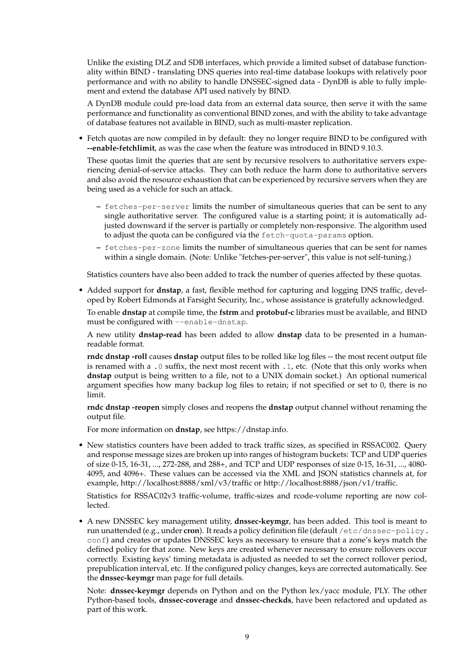Unlike the existing DLZ and SDB interfaces, which provide a limited subset of database functionality within BIND - translating DNS queries into real-time database lookups with relatively poor performance and with no ability to handle DNSSEC-signed data - DynDB is able to fully implement and extend the database API used natively by BIND.

A DynDB module could pre-load data from an external data source, then serve it with the same performance and functionality as conventional BIND zones, and with the ability to take advantage of database features not available in BIND, such as multi-master replication.

• Fetch quotas are now compiled in by default: they no longer require BIND to be configured with **--enable-fetchlimit**, as was the case when the feature was introduced in BIND 9.10.3.

These quotas limit the queries that are sent by recursive resolvers to authoritative servers experiencing denial-of-service attacks. They can both reduce the harm done to authoritative servers and also avoid the resource exhaustion that can be experienced by recursive servers when they are being used as a vehicle for such an attack.

- **–** fetches-per-server limits the number of simultaneous queries that can be sent to any single authoritative server. The configured value is a starting point; it is automatically adjusted downward if the server is partially or completely non-responsive. The algorithm used to adjust the quota can be configured via the fetch-quota-params option.
- **–** fetches-per-zone limits the number of simultaneous queries that can be sent for names within a single domain. (Note: Unlike "fetches-per-server", this value is not self-tuning.)

Statistics counters have also been added to track the number of queries affected by these quotas.

• Added support for **dnstap**, a fast, flexible method for capturing and logging DNS traffic, developed by Robert Edmonds at Farsight Security, Inc., whose assistance is gratefully acknowledged.

To enable **dnstap** at compile time, the **fstrm** and **protobuf-c** libraries must be available, and BIND must be configured with --enable-dnstap.

A new utility **dnstap-read** has been added to allow **dnstap** data to be presented in a humanreadable format.

**rndc dnstap -roll** causes **dnstap** output files to be rolled like log files -- the most recent output file is renamed with a .0 suffix, the next most recent with .1, etc. (Note that this only works when **dnstap** output is being written to a file, not to a UNIX domain socket.) An optional numerical argument specifies how many backup log files to retain; if not specified or set to 0, there is no limit.

**rndc dnstap -reopen** simply closes and reopens the **dnstap** output channel without renaming the output file.

For more information on **dnstap**, see https://dnstap.info.

• New statistics counters have been added to track traffic sizes, as specified in RSSAC002. Query and response message sizes are broken up into ranges of histogram buckets: TCP and UDP queries of size 0-15, 16-31, ..., 272-288, and 288+, and TCP and UDP responses of size 0-15, 16-31, ..., 4080- 4095, and 4096+. These values can be accessed via the XML and JSON statistics channels at, for example, http://localhost:8888/xml/v3/traffic or http://localhost:8888/json/v1/traffic.

Statistics for RSSAC02v3 traffic-volume, traffic-sizes and rcode-volume reporting are now collected.

• A new DNSSEC key management utility, **dnssec-keymgr**, has been added. This tool is meant to run unattended (e.g., under **cron**). It reads a policy definition file (default /etc/dnssec-policy. conf) and creates or updates DNSSEC keys as necessary to ensure that a zone's keys match the defined policy for that zone. New keys are created whenever necessary to ensure rollovers occur correctly. Existing keys' timing metadata is adjusted as needed to set the correct rollover period, prepublication interval, etc. If the configured policy changes, keys are corrected automatically. See the **dnssec-keymgr** man page for full details.

Note: **dnssec-keymgr** depends on Python and on the Python lex/yacc module, PLY. The other Python-based tools, **dnssec-coverage** and **dnssec-checkds**, have been refactored and updated as part of this work.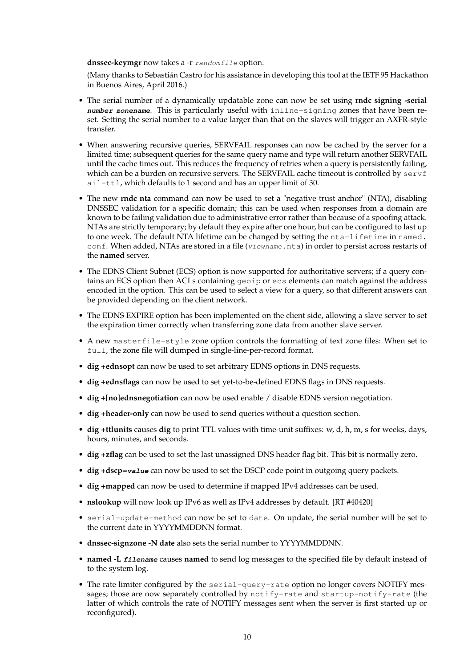#### **dnssec-keymgr** now takes a -r randomfile option.

(Many thanks to Sebastián Castro for his assistance in developing this tool at the IETF 95 Hackathon in Buenos Aires, April 2016.)

- The serial number of a dynamically updatable zone can now be set using **rndc signing -serial number zonename**. This is particularly useful with inline-signing zones that have been reset. Setting the serial number to a value larger than that on the slaves will trigger an AXFR-style transfer.
- When answering recursive queries, SERVFAIL responses can now be cached by the server for a limited time; subsequent queries for the same query name and type will return another SERVFAIL until the cache times out. This reduces the frequency of retries when a query is persistently failing, which can be a burden on recursive servers. The SERVFAIL cache timeout is controlled by  $servf$ ail-ttl, which defaults to 1 second and has an upper limit of 30.
- The new **rndc nta** command can now be used to set a "negative trust anchor" (NTA), disabling DNSSEC validation for a specific domain; this can be used when responses from a domain are known to be failing validation due to administrative error rather than because of a spoofing attack. NTAs are strictly temporary; by default they expire after one hour, but can be configured to last up to one week. The default NTA lifetime can be changed by setting the nta-lifetime in named. conf. When added, NTAs are stored in a file (viewname.nta) in order to persist across restarts of the **named** server.
- The EDNS Client Subnet (ECS) option is now supported for authoritative servers; if a query contains an ECS option then ACLs containing geoip or ecs elements can match against the address encoded in the option. This can be used to select a view for a query, so that different answers can be provided depending on the client network.
- The EDNS EXPIRE option has been implemented on the client side, allowing a slave server to set the expiration timer correctly when transferring zone data from another slave server.
- A new masterfile-style zone option controls the formatting of text zone files: When set to full, the zone file will dumped in single-line-per-record format.
- **dig +ednsopt** can now be used to set arbitrary EDNS options in DNS requests.
- **dig +ednsflags** can now be used to set yet-to-be-defined EDNS flags in DNS requests.
- **dig +[no]ednsnegotiation** can now be used enable / disable EDNS version negotiation.
- **dig +header-only** can now be used to send queries without a question section.
- **dig +ttlunits** causes **dig** to print TTL values with time-unit suffixes: w, d, h, m, s for weeks, days, hours, minutes, and seconds.
- **dig +zflag** can be used to set the last unassigned DNS header flag bit. This bit is normally zero.
- **dig +dscp=value** can now be used to set the DSCP code point in outgoing query packets.
- **dig +mapped** can now be used to determine if mapped IPv4 addresses can be used.
- **nslookup** will now look up IPv6 as well as IPv4 addresses by default. [RT #40420]
- serial-update-method can now be set to date. On update, the serial number will be set to the current date in YYYYMMDDNN format.
- **dnssec-signzone -N date** also sets the serial number to YYYYMMDDNN.
- **named -L filename** causes **named** to send log messages to the specified file by default instead of to the system log.
- The rate limiter configured by the serial-query-rate option no longer covers NOTIFY messages; those are now separately controlled by notify-rate and startup-notify-rate (the latter of which controls the rate of NOTIFY messages sent when the server is first started up or reconfigured).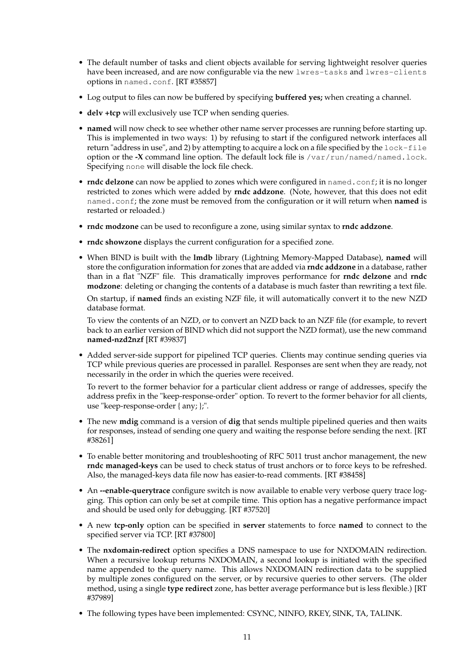- The default number of tasks and client objects available for serving lightweight resolver queries have been increased, and are now configurable via the new lwres-tasks and lwres-clients options in named.conf. [RT #35857]
- Log output to files can now be buffered by specifying **buffered yes;** when creating a channel.
- **delv +tcp** will exclusively use TCP when sending queries.
- **named** will now check to see whether other name server processes are running before starting up. This is implemented in two ways: 1) by refusing to start if the configured network interfaces all return "address in use", and 2) by attempting to acquire a lock on a file specified by the lock-file option or the **-X** command line option. The default lock file is /var/run/named/named.lock. Specifying none will disable the lock file check.
- **rndc delzone** can now be applied to zones which were configured in named.conf; it is no longer restricted to zones which were added by **rndc addzone**. (Note, however, that this does not edit named.conf; the zone must be removed from the configuration or it will return when **named** is restarted or reloaded.)
- **rndc modzone** can be used to reconfigure a zone, using similar syntax to **rndc addzone**.
- **rndc showzone** displays the current configuration for a specified zone.
- When BIND is built with the **lmdb** library (Lightning Memory-Mapped Database), **named** will store the configuration information for zones that are added via **rndc addzone** in a database, rather than in a flat "NZF" file. This dramatically improves performance for **rndc delzone** and **rndc modzone**: deleting or changing the contents of a database is much faster than rewriting a text file.

On startup, if **named** finds an existing NZF file, it will automatically convert it to the new NZD database format.

To view the contents of an NZD, or to convert an NZD back to an NZF file (for example, to revert back to an earlier version of BIND which did not support the NZD format), use the new command **named-nzd2nzf** [RT #39837]

• Added server-side support for pipelined TCP queries. Clients may continue sending queries via TCP while previous queries are processed in parallel. Responses are sent when they are ready, not necessarily in the order in which the queries were received.

To revert to the former behavior for a particular client address or range of addresses, specify the address prefix in the "keep-response-order" option. To revert to the former behavior for all clients, use "keep-response-order { any; };".

- The new **mdig** command is a version of **dig** that sends multiple pipelined queries and then waits for responses, instead of sending one query and waiting the response before sending the next. [RT #38261]
- To enable better monitoring and troubleshooting of RFC 5011 trust anchor management, the new **rndc managed-keys** can be used to check status of trust anchors or to force keys to be refreshed. Also, the managed-keys data file now has easier-to-read comments. [RT #38458]
- An **--enable-querytrace** configure switch is now available to enable very verbose query trace logging. This option can only be set at compile time. This option has a negative performance impact and should be used only for debugging. [RT #37520]
- A new **tcp-only** option can be specified in **server** statements to force **named** to connect to the specified server via TCP. [RT #37800]
- The **nxdomain-redirect** option specifies a DNS namespace to use for NXDOMAIN redirection. When a recursive lookup returns NXDOMAIN, a second lookup is initiated with the specified name appended to the query name. This allows NXDOMAIN redirection data to be supplied by multiple zones configured on the server, or by recursive queries to other servers. (The older method, using a single **type redirect** zone, has better average performance but is less flexible.) [RT #37989]
- The following types have been implemented: CSYNC, NINFO, RKEY, SINK, TA, TALINK.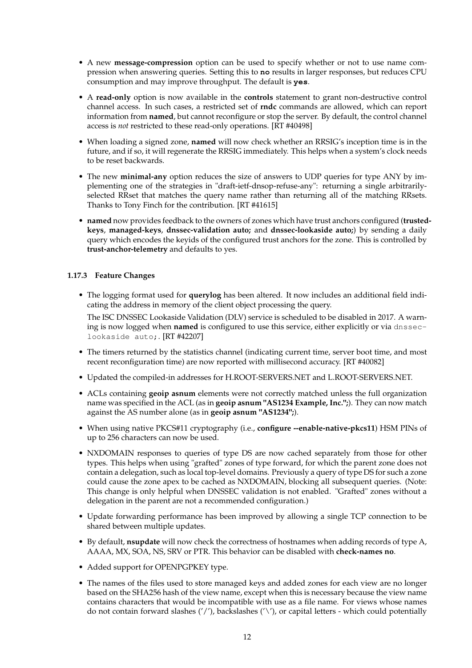- A new **message-compression** option can be used to specify whether or not to use name compression when answering queries. Setting this to **no** results in larger responses, but reduces CPU consumption and may improve throughput. The default is **yes**.
- A **read-only** option is now available in the **controls** statement to grant non-destructive control channel access. In such cases, a restricted set of **rndc** commands are allowed, which can report information from **named**, but cannot reconfigure or stop the server. By default, the control channel access is *not* restricted to these read-only operations. [RT #40498]
- When loading a signed zone, **named** will now check whether an RRSIG's inception time is in the future, and if so, it will regenerate the RRSIG immediately. This helps when a system's clock needs to be reset backwards.
- The new **minimal-any** option reduces the size of answers to UDP queries for type ANY by implementing one of the strategies in "draft-ietf-dnsop-refuse-any": returning a single arbitrarilyselected RRset that matches the query name rather than returning all of the matching RRsets. Thanks to Tony Finch for the contribution. [RT #41615]
- **named** now provides feedback to the owners of zones which have trust anchors configured (**trustedkeys**, **managed-keys**, **dnssec-validation auto;** and **dnssec-lookaside auto;**) by sending a daily query which encodes the keyids of the configured trust anchors for the zone. This is controlled by **trust-anchor-telemetry** and defaults to yes.

#### **1.17.3 Feature Changes**

• The logging format used for **querylog** has been altered. It now includes an additional field indicating the address in memory of the client object processing the query.

The ISC DNSSEC Lookaside Validation (DLV) service is scheduled to be disabled in 2017. A warning is now logged when **named** is configured to use this service, either explicitly or via dnsseclookaside auto;. [RT #42207]

- The timers returned by the statistics channel (indicating current time, server boot time, and most recent reconfiguration time) are now reported with millisecond accuracy. [RT #40082]
- Updated the compiled-in addresses for H.ROOT-SERVERS.NET and L.ROOT-SERVERS.NET.
- ACLs containing **geoip asnum** elements were not correctly matched unless the full organization name was specified in the ACL (as in **geoip asnum "AS1234 Example, Inc.";**). They can now match against the AS number alone (as in **geoip asnum "AS1234";**).
- When using native PKCS#11 cryptography (i.e., **configure --enable-native-pkcs11**) HSM PINs of up to 256 characters can now be used.
- NXDOMAIN responses to queries of type DS are now cached separately from those for other types. This helps when using "grafted" zones of type forward, for which the parent zone does not contain a delegation, such as local top-level domains. Previously a query of type DS for such a zone could cause the zone apex to be cached as NXDOMAIN, blocking all subsequent queries. (Note: This change is only helpful when DNSSEC validation is not enabled. "Grafted" zones without a delegation in the parent are not a recommended configuration.)
- Update forwarding performance has been improved by allowing a single TCP connection to be shared between multiple updates.
- By default, **nsupdate** will now check the correctness of hostnames when adding records of type A, AAAA, MX, SOA, NS, SRV or PTR. This behavior can be disabled with **check-names no**.
- Added support for OPENPGPKEY type.
- The names of the files used to store managed keys and added zones for each view are no longer based on the SHA256 hash of the view name, except when this is necessary because the view name contains characters that would be incompatible with use as a file name. For views whose names do not contain forward slashes ('/'), backslashes ('\'), or capital letters - which could potentially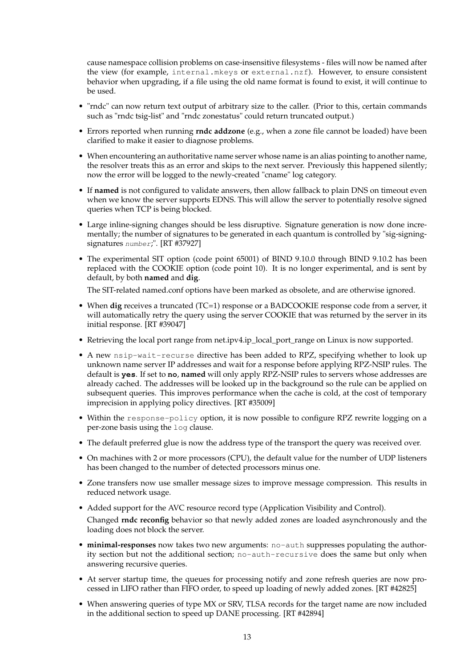cause namespace collision problems on case-insensitive filesystems - files will now be named after the view (for example, internal.mkeys or external.nzf). However, to ensure consistent behavior when upgrading, if a file using the old name format is found to exist, it will continue to be used.

- "rndc" can now return text output of arbitrary size to the caller. (Prior to this, certain commands such as "rndc tsig-list" and "rndc zonestatus" could return truncated output.)
- Errors reported when running **rndc addzone** (e.g., when a zone file cannot be loaded) have been clarified to make it easier to diagnose problems.
- When encountering an authoritative name server whose name is an alias pointing to another name, the resolver treats this as an error and skips to the next server. Previously this happened silently; now the error will be logged to the newly-created "cname" log category.
- If **named** is not configured to validate answers, then allow fallback to plain DNS on timeout even when we know the server supports EDNS. This will allow the server to potentially resolve signed queries when TCP is being blocked.
- Large inline-signing changes should be less disruptive. Signature generation is now done incrementally; the number of signatures to be generated in each quantum is controlled by "sig-signingsignatures number;". [RT #37927]
- The experimental SIT option (code point 65001) of BIND 9.10.0 through BIND 9.10.2 has been replaced with the COOKIE option (code point 10). It is no longer experimental, and is sent by default, by both **named** and **dig**.

The SIT-related named.conf options have been marked as obsolete, and are otherwise ignored.

- When **dig** receives a truncated (TC=1) response or a BADCOOKIE response code from a server, it will automatically retry the query using the server COOKIE that was returned by the server in its initial response. [RT #39047]
- Retrieving the local port range from net.ipv4.ip\_local\_port\_range on Linux is now supported.
- A new nsip-wait-recurse directive has been added to RPZ, specifying whether to look up unknown name server IP addresses and wait for a response before applying RPZ-NSIP rules. The default is **yes**. If set to **no**, **named** will only apply RPZ-NSIP rules to servers whose addresses are already cached. The addresses will be looked up in the background so the rule can be applied on subsequent queries. This improves performance when the cache is cold, at the cost of temporary imprecision in applying policy directives. [RT #35009]
- Within the response-policy option, it is now possible to configure RPZ rewrite logging on a per-zone basis using the log clause.
- The default preferred glue is now the address type of the transport the query was received over.
- On machines with 2 or more processors (CPU), the default value for the number of UDP listeners has been changed to the number of detected processors minus one.
- Zone transfers now use smaller message sizes to improve message compression. This results in reduced network usage.
- Added support for the AVC resource record type (Application Visibility and Control).

Changed **rndc reconfig** behavior so that newly added zones are loaded asynchronously and the loading does not block the server.

- **minimal-responses** now takes two new arguments: no-auth suppresses populating the authority section but not the additional section; no-auth-recursive does the same but only when answering recursive queries.
- At server startup time, the queues for processing notify and zone refresh queries are now processed in LIFO rather than FIFO order, to speed up loading of newly added zones. [RT #42825]
- When answering queries of type MX or SRV, TLSA records for the target name are now included in the additional section to speed up DANE processing. [RT #42894]